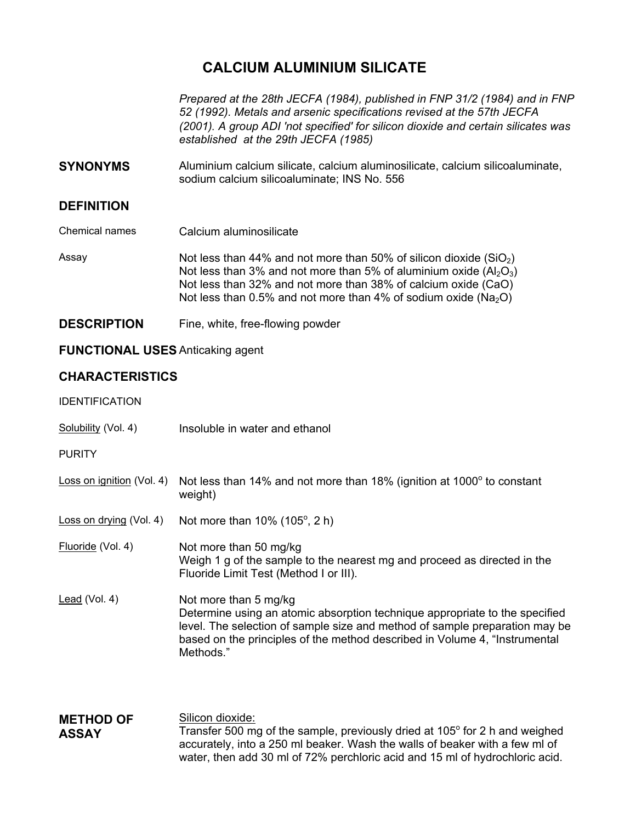# **CALCIUM ALUMINIUM SILICATE**

*Prepared at the 28th JECFA (1984), published in FNP 31/2 (1984) and in FNP 52 (1992). Metals and arsenic specifications revised at the 57th JECFA (2001). A group ADI 'not specified' for silicon dioxide and certain silicates was established at the 29th JECFA (1985)* 

**SYNONYMS** Aluminium calcium silicate, calcium aluminosilicate, calcium silicoaluminate, sodium calcium silicoaluminate; INS No. 556

# **DEFINITION**

Chemical names Calcium aluminosilicate

Assay Not less than 44% and not more than 50% of silicon dioxide  $(SiO<sub>2</sub>)$ Not less than 3% and not more than 5% of aluminium oxide  $(A<sub>12</sub>O<sub>3</sub>)$ Not less than 32% and not more than 38% of calcium oxide (CaO) Not less than 0.5% and not more than 4% of sodium oxide ( $Na<sub>2</sub>O$ )

**DESCRIPTION** Fine, white, free-flowing powder

## **FUNCTIONAL USES** Anticaking agent

# **CHARACTERISTICS**

## IDENTIFICATION

- Solubility (Vol. 4) Insoluble in water and ethanol
- **PURITY**
- Loss on ignition (Vol. 4) Not less than 14% and not more than 18% (ignition at 1000° to constant weight)
- Loss on drying (Vol. 4) Not more than  $10\%$  (105 $^{\circ}$ , 2 h)
- Fluoride (Vol. 4) Not more than 50 mg/kg Weigh 1 g of the sample to the nearest mg and proceed as directed in the Fluoride Limit Test (Method I or III).
- Lead (Vol. 4) Not more than 5 mg/kg Determine using an atomic absorption technique appropriate to the specified level. The selection of sample size and method of sample preparation may be based on the principles of the method described in Volume 4, "Instrumental Methods."
- **METHOD OF ASSAY**  Silicon dioxide: Transfer 500 mg of the sample, previously dried at 105 $^{\circ}$  for 2 h and weighed accurately, into a 250 ml beaker. Wash the walls of beaker with a few ml of water, then add 30 ml of 72% perchloric acid and 15 ml of hydrochloric acid.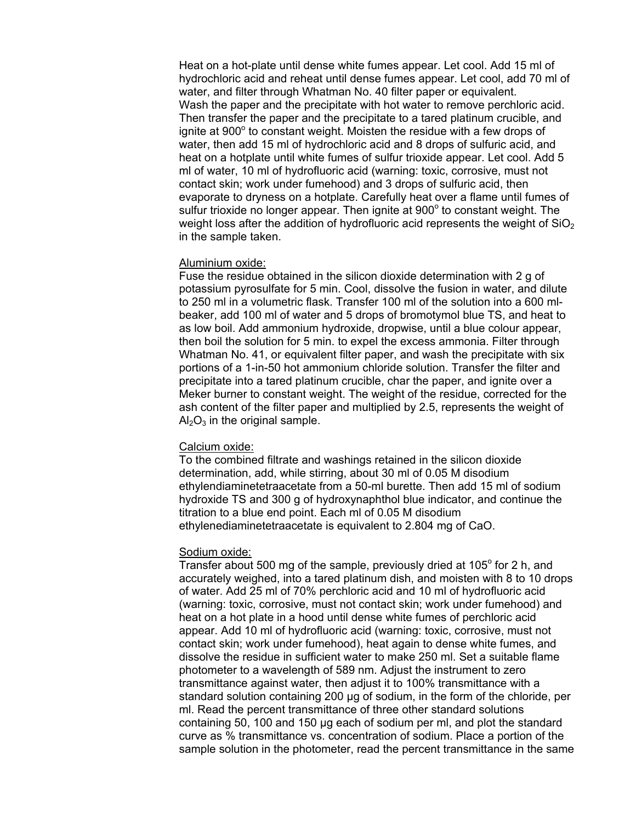Heat on a hot-plate until dense white fumes appear. Let cool. Add 15 ml of hydrochloric acid and reheat until dense fumes appear. Let cool, add 70 ml of water, and filter through Whatman No. 40 filter paper or equivalent. Wash the paper and the precipitate with hot water to remove perchloric acid. Then transfer the paper and the precipitate to a tared platinum crucible, and ignite at 900° to constant weight. Moisten the residue with a few drops of water, then add 15 ml of hydrochloric acid and 8 drops of sulfuric acid, and heat on a hotplate until white fumes of sulfur trioxide appear. Let cool. Add 5 ml of water, 10 ml of hydrofluoric acid (warning: toxic, corrosive, must not contact skin; work under fumehood) and 3 drops of sulfuric acid, then evaporate to dryness on a hotplate. Carefully heat over a flame until fumes of sulfur trioxide no longer appear. Then ignite at 900° to constant weight. The weight loss after the addition of hydrofluoric acid represents the weight of  $SiO<sub>2</sub>$ in the sample taken.

#### Aluminium oxide:

Fuse the residue obtained in the silicon dioxide determination with 2 g of potassium pyrosulfate for 5 min. Cool, dissolve the fusion in water, and dilute to 250 ml in a volumetric flask. Transfer 100 ml of the solution into a 600 mlbeaker, add 100 ml of water and 5 drops of bromotymol blue TS, and heat to as low boil. Add ammonium hydroxide, dropwise, until a blue colour appear, then boil the solution for 5 min. to expel the excess ammonia. Filter through Whatman No. 41, or equivalent filter paper, and wash the precipitate with six portions of a 1-in-50 hot ammonium chloride solution. Transfer the filter and precipitate into a tared platinum crucible, char the paper, and ignite over a Meker burner to constant weight. The weight of the residue, corrected for the ash content of the filter paper and multiplied by 2.5, represents the weight of  $Al_2O_3$  in the original sample.

## Calcium oxide:

To the combined filtrate and washings retained in the silicon dioxide determination, add, while stirring, about 30 ml of 0.05 M disodium ethylendiaminetetraacetate from a 50-ml burette. Then add 15 ml of sodium hydroxide TS and 300 g of hydroxynaphthol blue indicator, and continue the titration to a blue end point. Each ml of 0.05 M disodium ethylenediaminetetraacetate is equivalent to 2.804 mg of CaO.

#### Sodium oxide:

Transfer about 500 mg of the sample, previously dried at 105 $^{\circ}$  for 2 h, and accurately weighed, into a tared platinum dish, and moisten with 8 to 10 drops of water. Add 25 ml of 70% perchloric acid and 10 ml of hydrofluoric acid (warning: toxic, corrosive, must not contact skin; work under fumehood) and heat on a hot plate in a hood until dense white fumes of perchloric acid appear. Add 10 ml of hydrofluoric acid (warning: toxic, corrosive, must not contact skin; work under fumehood), heat again to dense white fumes, and dissolve the residue in sufficient water to make 250 ml. Set a suitable flame photometer to a wavelength of 589 nm. Adjust the instrument to zero transmittance against water, then adjust it to 100% transmittance with a standard solution containing 200 µg of sodium, in the form of the chloride, per ml. Read the percent transmittance of three other standard solutions containing 50, 100 and 150 µg each of sodium per ml, and plot the standard curve as % transmittance vs. concentration of sodium. Place a portion of the sample solution in the photometer, read the percent transmittance in the same